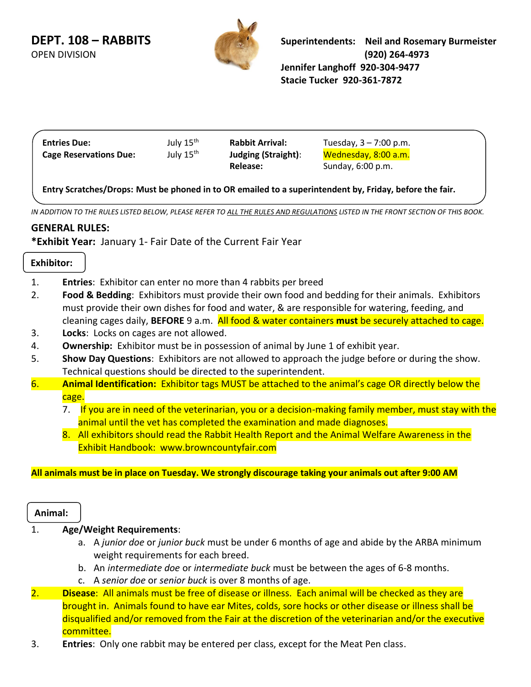

| <b>Entries Due:</b>           | July 15 <sup>th</sup> | <b>Rabbit Arrival:</b>                      | Tuesday, $3 - 7:00$ p.m. |  |
|-------------------------------|-----------------------|---------------------------------------------|--------------------------|--|
| <b>Cage Reservations Due:</b> | July 15 <sup>th</sup> | Judging (Straight):<br>Wednesday, 8:00 a.m. |                          |  |
|                               |                       | Release:                                    | Sunday, 6:00 p.m.        |  |

**Entry Scratches/Drops: Must be phoned in to OR emailed to a superintendent by, Friday, before the fair.**

 $\overline{a}$ *IN ADDITION TO THE RULES LISTED BELOW, PLEASE REFER TO ALL THE RULES AND REGULATIONS LISTED IN THE FRONT SECTION OF THIS BOOK.*

# **GENERAL RULES:**

**\*Exhibit Year:** January 1- Fair Date of the Current Fair Year

#### **Exhibitor:**

- 1. **Entries**: Exhibitor can enter no more than 4 rabbits per breed
- 2. **Food & Bedding**: Exhibitors must provide their own food and bedding for their animals. Exhibitors must provide their own dishes for food and water, & are responsible for watering, feeding, and cleaning cages daily, **BEFORE** 9 a.m. All food & water containers **must** be securely attached to cage.
- 3. **Locks**:Locks on cages are not allowed.
- 4. **Ownership:** Exhibitor must be in possession of animal by June 1 of exhibit year.
- 5. **Show Day Questions**: Exhibitors are not allowed to approach the judge before or during the show. Technical questions should be directed to the superintendent.
- 6. **Animal Identification:** Exhibitor tags MUST be attached to the animal's cage OR directly below the cage.
	- 7. If you are in need of the veterinarian, you or a decision-making family member, must stay with the animal until the vet has completed the examination and made diagnoses.
	- 8. All exhibitors should read the Rabbit Health Report and the Animal Welfare Awareness in the Exhibit Handbook: www.browncountyfair.com

### **All animals must be in place on Tuesday. We strongly discourage taking your animals out after 9:00 AM**

#### **Animal:**

## 1. **Age/Weight Requirements**:

- a. A *junior doe* or *junior buck* must be under 6 months of age and abide by the ARBA minimum weight requirements for each breed.
- b. An *intermediate doe* or *intermediate buck* must be between the ages of 6-8 months.
- c. A *senior doe* or *senior buck* is over 8 months of age.
- 2. **Disease**: All animals must be free of disease or illness. Each animal will be checked as they are brought in. Animals found to have ear Mites, colds, sore hocks or other disease or illness shall be disqualified and/or removed from the Fair at the discretion of the veterinarian and/or the executive committee.
- 3. **Entries**: Only one rabbit may be entered per class, except for the Meat Pen class.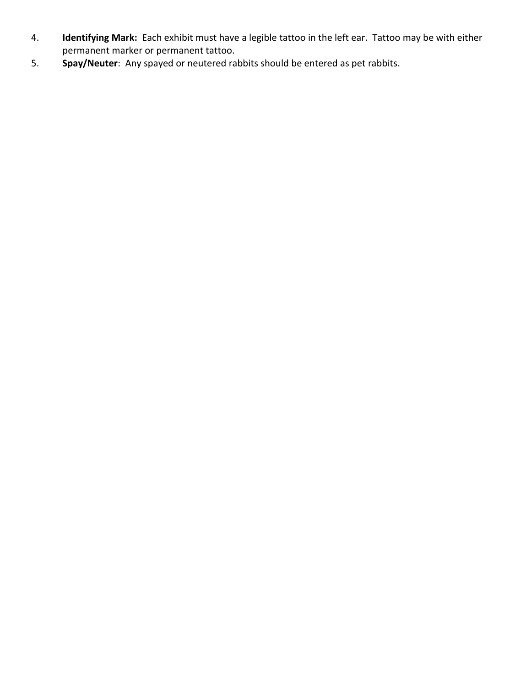- 4. **Identifying Mark:** Each exhibit must have a legible tattoo in the left ear. Tattoo may be with either permanent marker or permanent tattoo.
- 5. **Spay/Neuter**: Any spayed or neutered rabbits should be entered as pet rabbits.